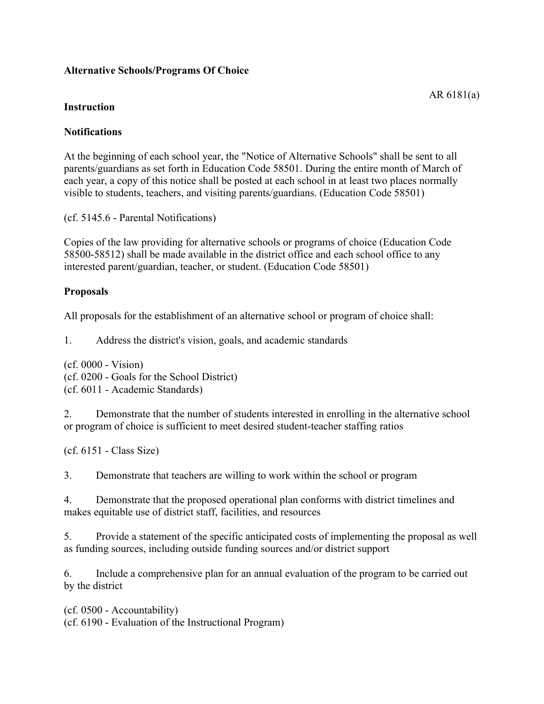## **Alternative Schools/Programs Of Choice**

AR 6181(a)

## **Instruction**

## **Notifications**

At the beginning of each school year, the "Notice of Alternative Schools" shall be sent to all parents/guardians as set forth in Education Code 58501. During the entire month of March of each year, a copy of this notice shall be posted at each school in at least two places normally visible to students, teachers, and visiting parents/guardians. (Education Code 58501)

(cf. 5145.6 - Parental Notifications)

Copies of the law providing for alternative schools or programs of choice (Education Code 58500-58512) shall be made available in the district office and each school office to any interested parent/guardian, teacher, or student. (Education Code 58501)

#### **Proposals**

All proposals for the establishment of an alternative school or program of choice shall:

1. Address the district's vision, goals, and academic standards

(cf. 0000 - Vision) (cf. 0200 - Goals for the School District) (cf. 6011 - Academic Standards)

2. Demonstrate that the number of students interested in enrolling in the alternative school or program of choice is sufficient to meet desired student-teacher staffing ratios

(cf. 6151 - Class Size)

3. Demonstrate that teachers are willing to work within the school or program

4. Demonstrate that the proposed operational plan conforms with district timelines and makes equitable use of district staff, facilities, and resources

5. Provide a statement of the specific anticipated costs of implementing the proposal as well as funding sources, including outside funding sources and/or district support

6. Include a comprehensive plan for an annual evaluation of the program to be carried out by the district

(cf. 0500 - Accountability) (cf. 6190 - Evaluation of the Instructional Program)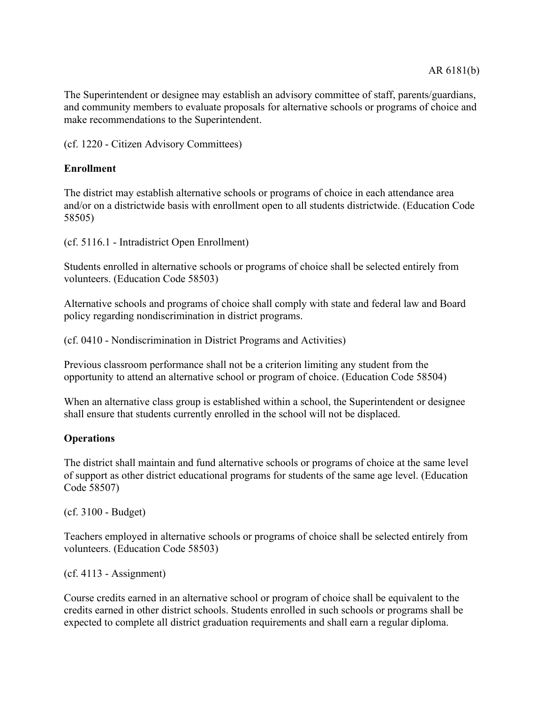The Superintendent or designee may establish an advisory committee of staff, parents/guardians, and community members to evaluate proposals for alternative schools or programs of choice and make recommendations to the Superintendent.

(cf. 1220 - Citizen Advisory Committees)

# **Enrollment**

The district may establish alternative schools or programs of choice in each attendance area and/or on a districtwide basis with enrollment open to all students districtwide. (Education Code 58505)

(cf. 5116.1 - Intradistrict Open Enrollment)

Students enrolled in alternative schools or programs of choice shall be selected entirely from volunteers. (Education Code 58503)

Alternative schools and programs of choice shall comply with state and federal law and Board policy regarding nondiscrimination in district programs.

(cf. 0410 - Nondiscrimination in District Programs and Activities)

Previous classroom performance shall not be a criterion limiting any student from the opportunity to attend an alternative school or program of choice. (Education Code 58504)

When an alternative class group is established within a school, the Superintendent or designee shall ensure that students currently enrolled in the school will not be displaced.

#### **Operations**

The district shall maintain and fund alternative schools or programs of choice at the same level of support as other district educational programs for students of the same age level. (Education Code 58507)

(cf. 3100 - Budget)

Teachers employed in alternative schools or programs of choice shall be selected entirely from volunteers. (Education Code 58503)

 $(cf. 4113 - Assignment)$ 

Course credits earned in an alternative school or program of choice shall be equivalent to the credits earned in other district schools. Students enrolled in such schools or programs shall be expected to complete all district graduation requirements and shall earn a regular diploma.